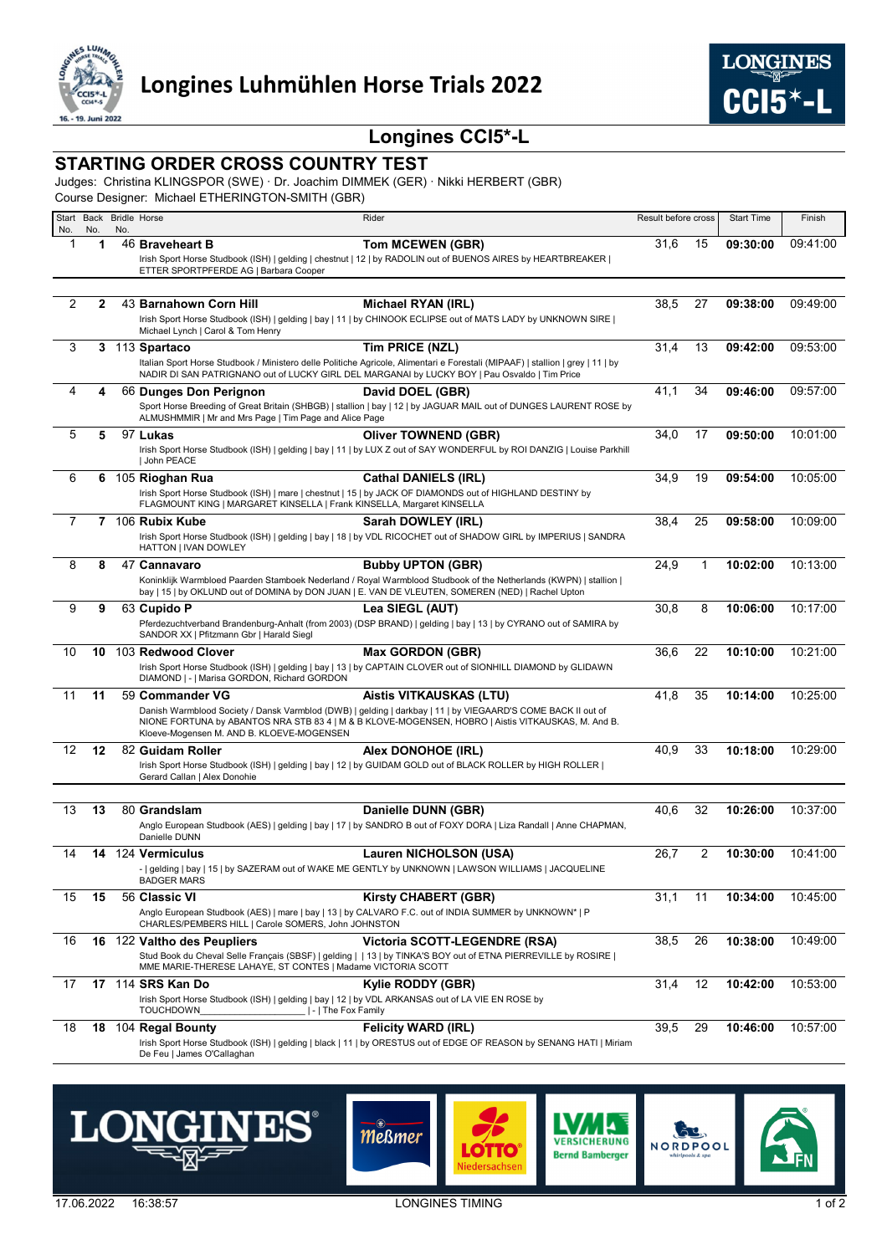

## **Longines CCI5\*-L**

## **STARTING ORDER CROSS COUNTRY TEST**

Judges: Christina KLINGSPOR (SWE) · Dr. Joachim DIMMEK (GER) · Nikki HERBERT (GBR)

Course Designer: Michael ETHERINGTON-SMITH (GBR)

| Start<br>No. | No. | No. | Back Bridle Horse                                                                                                                           | Rider                                                                                                                                                                                                                           | Result before cross |    | <b>Start Time</b> | Finish   |
|--------------|-----|-----|---------------------------------------------------------------------------------------------------------------------------------------------|---------------------------------------------------------------------------------------------------------------------------------------------------------------------------------------------------------------------------------|---------------------|----|-------------------|----------|
| 1            | 1   |     | 46 Braveheart B                                                                                                                             | <b>Tom MCEWEN (GBR)</b>                                                                                                                                                                                                         | 31,6                | 15 | 09:30:00          | 09:41:00 |
|              |     |     |                                                                                                                                             | Irish Sport Horse Studbook (ISH)   gelding   chestnut   12   by RADOLIN out of BUENOS AIRES by HEARTBREAKER                                                                                                                     |                     |    |                   |          |
|              |     |     | ETTER SPORTPFERDE AG   Barbara Cooper                                                                                                       |                                                                                                                                                                                                                                 |                     |    |                   |          |
| 2            | 2   |     | 43 Barnahown Corn Hill                                                                                                                      | Michael RYAN (IRL)                                                                                                                                                                                                              | 38,5                | 27 | 09:38:00          | 09:49:00 |
|              |     |     |                                                                                                                                             | Irish Sport Horse Studbook (ISH)   gelding   bay   11   by CHINOOK ECLIPSE out of MATS LADY by UNKNOWN SIRE                                                                                                                     |                     |    |                   |          |
|              |     |     | Michael Lynch   Carol & Tom Henry                                                                                                           |                                                                                                                                                                                                                                 |                     |    |                   |          |
| 3            |     |     | 3 113 Spartaco                                                                                                                              | Tim PRICE (NZL)                                                                                                                                                                                                                 | 31,4                | 13 | 09:42:00          | 09:53:00 |
|              |     |     |                                                                                                                                             | Italian Sport Horse Studbook / Ministero delle Politiche Agricole, Alimentari e Forestali (MIPAAF)   stallion   grey   11   by<br>NADIR DI SAN PATRIGNANO out of LUCKY GIRL DEL MARGANAI by LUCKY BOY   Pau Osvaldo   Tim Price |                     |    |                   |          |
| 4            | 4   |     | 66 Dunges Don Perignon                                                                                                                      | David DOEL (GBR)                                                                                                                                                                                                                | 41,1                | 34 | 09:46:00          | 09:57:00 |
|              |     |     | ALMUSHMMIR   Mr and Mrs Page   Tim Page and Alice Page                                                                                      | Sport Horse Breeding of Great Britain (SHBGB)   stallion   bay   12   by JAGUAR MAIL out of DUNGES LAURENT ROSE by                                                                                                              |                     |    |                   |          |
| 5            | 5   |     | 97 Lukas                                                                                                                                    | <b>Oliver TOWNEND (GBR)</b>                                                                                                                                                                                                     | 34,0                | 17 | 09:50:00          | 10:01:00 |
|              |     |     | John PEACE                                                                                                                                  | Irish Sport Horse Studbook (ISH)   gelding   bay   11   by LUX Z out of SAY WONDERFUL by ROI DANZIG   Louise Parkhill                                                                                                           |                     |    |                   |          |
| 6            | 6   |     | 105 Rioghan Rua                                                                                                                             | <b>Cathal DANIELS (IRL)</b>                                                                                                                                                                                                     | 34,9                | 19 | 09:54:00          | 10:05:00 |
|              |     |     | FLAGMOUNT KING   MARGARET KINSELLA   Frank KINSELLA, Margaret KINSELLA                                                                      | Irish Sport Horse Studbook (ISH)   mare   chestnut   15   by JACK OF DIAMONDS out of HIGHLAND DESTINY by                                                                                                                        |                     |    |                   |          |
| 7            |     |     | 7 106 Rubix Kube                                                                                                                            | Sarah DOWLEY (IRL)                                                                                                                                                                                                              | 38,4                | 25 | 09:58:00          | 10:09:00 |
|              |     |     |                                                                                                                                             | Irish Sport Horse Studbook (ISH)   gelding   bay   18   by VDL RICOCHET out of SHADOW GIRL by IMPERIUS   SANDRA                                                                                                                 |                     |    |                   |          |
|              |     |     | HATTON   IVAN DOWLEY                                                                                                                        |                                                                                                                                                                                                                                 |                     |    |                   |          |
| 8            | 8   |     | 47 Cannavaro                                                                                                                                | <b>Bubby UPTON (GBR)</b><br>Koninklijk Warmbloed Paarden Stamboek Nederland / Royal Warmblood Studbook of the Netherlands (KWPN)   stallion                                                                                     | 24,9                | 1  | 10:02:00          | 10:13:00 |
|              |     |     |                                                                                                                                             | bay   15   by OKLUND out of DOMINA by DON JUAN   E. VAN DE VLEUTEN, SOMEREN (NED)   Rachel Upton                                                                                                                                |                     |    |                   |          |
| 9            | 9   |     | 63 Cupido P                                                                                                                                 | Lea SIEGL (AUT)                                                                                                                                                                                                                 | 30,8                | 8  | 10:06:00          | 10:17:00 |
|              |     |     | SANDOR XX   Pfitzmann Gbr   Harald Siegl                                                                                                    | Pferdezuchtverband Brandenburg-Anhalt (from 2003) (DSP BRAND)   gelding   bay   13   by CYRANO out of SAMIRA by                                                                                                                 |                     |    |                   |          |
| 10           | 10  |     | 103 Redwood Clover                                                                                                                          | <b>Max GORDON (GBR)</b>                                                                                                                                                                                                         | 36,6                | 22 | 10:10:00          | 10:21:00 |
|              |     |     | DIAMOND   -   Marisa GORDON, Richard GORDON                                                                                                 | Irish Sport Horse Studbook (ISH)   gelding   bay   13   by CAPTAIN CLOVER out of SIONHILL DIAMOND by GLIDAWN                                                                                                                    |                     |    |                   |          |
| 11           | 11  |     | 59 Commander VG                                                                                                                             | <b>Aistis VITKAUSKAS (LTU)</b>                                                                                                                                                                                                  | 41,8                | 35 | 10:14:00          | 10:25:00 |
|              |     |     |                                                                                                                                             | Danish Warmblood Society / Dansk Varmblod (DWB)   gelding   darkbay   11   by VIEGAARD'S COME BACK II out of<br>NIONE FORTUNA by ABANTOS NRA STB 83 4   M & B KLOVE-MOGENSEN, HOBRO   Aistis VITKAUSKAS, M. And B.              |                     |    |                   |          |
|              |     |     | Kloeve-Mogensen M. AND B. KLOEVE-MOGENSEN                                                                                                   |                                                                                                                                                                                                                                 |                     |    |                   |          |
| 12           | 12  |     | 82 Guidam Roller                                                                                                                            | Alex DONOHOE (IRL)                                                                                                                                                                                                              | 40,9                | 33 | 10:18:00          | 10:29:00 |
|              |     |     | Gerard Callan   Alex Donohie                                                                                                                | Irish Sport Horse Studbook (ISH)   gelding   bay   12   by GUIDAM GOLD out of BLACK ROLLER by HIGH ROLLER                                                                                                                       |                     |    |                   |          |
|              |     |     |                                                                                                                                             |                                                                                                                                                                                                                                 |                     |    |                   |          |
| 13           | 13  |     | 80 Grandslam                                                                                                                                | Danielle DUNN (GBR)                                                                                                                                                                                                             | 40,6                | 32 | 10:26:00          | 10:37:00 |
|              |     |     | Danielle DUNN                                                                                                                               | Anglo European Studbook (AES)   gelding   bay   17   by SANDRO B out of FOXY DORA   Liza Randall   Anne CHAPMAN,                                                                                                                |                     |    |                   |          |
| 14           | 14  |     | 124 Vermiculus                                                                                                                              | Lauren NICHOLSON (USA)                                                                                                                                                                                                          | 26,7                | 2  | 10:30:00          | 10:41:00 |
|              |     |     | <b>BADGER MARS</b>                                                                                                                          | -   gelding   bay   15   by SAZERAM out of WAKE ME GENTLY by UNKNOWN   LAWSON WILLIAMS   JACQUELINE                                                                                                                             |                     |    |                   |          |
| 15           | 15  |     | 56 Classic VI                                                                                                                               | <b>Kirsty CHABERT (GBR)</b>                                                                                                                                                                                                     | 31,1                | 11 | 10:34:00          | 10:45:00 |
|              |     |     | CHARLES/PEMBERS HILL   Carole SOMERS, John JOHNSTON                                                                                         | Anglo European Studbook (AES)   mare   bay   13   by CALVARO F.C. out of INDIA SUMMER by UNKNOWN*   P                                                                                                                           |                     |    |                   |          |
| 16           | 16  |     | 122 Valtho des Peupliers                                                                                                                    | Victoria SCOTT-LEGENDRE (RSA)                                                                                                                                                                                                   | 38,5                | 26 | 10:38:00          | 10:49:00 |
|              |     |     | MME MARIE-THERESE LAHAYE, ST CONTES   Madame VICTORIA SCOTT                                                                                 | Stud Book du Cheval Selle Français (SBSF)   gelding     13   by TINKA'S BOY out of ETNA PIERREVILLE by ROSIRE                                                                                                                   |                     |    |                   |          |
| 17           |     |     | 17 114 SRS Kan Do                                                                                                                           | Kylie RODDY (GBR)                                                                                                                                                                                                               | 31,4                | 12 | 10:42:00          | 10:53:00 |
|              |     |     | Irish Sport Horse Studbook (ISH)   gelding   bay   12   by VDL ARKANSAS out of LA VIE EN ROSE by<br><b>TOUCHDOWN</b><br> -   The Fox Family |                                                                                                                                                                                                                                 |                     |    |                   |          |
| 18           |     |     | 18 104 Regal Bounty                                                                                                                         | <b>Felicity WARD (IRL)</b>                                                                                                                                                                                                      | 39,5                | 29 | 10:46:00          | 10:57:00 |
|              |     |     |                                                                                                                                             | Irish Sport Horse Studbook (ISH)   gelding   black   11   by ORESTUS out of EDGE OF REASON by SENANG HATI   Miriam                                                                                                              |                     |    |                   |          |
|              |     |     | De Feu   James O'Callaghan                                                                                                                  |                                                                                                                                                                                                                                 |                     |    |                   |          |